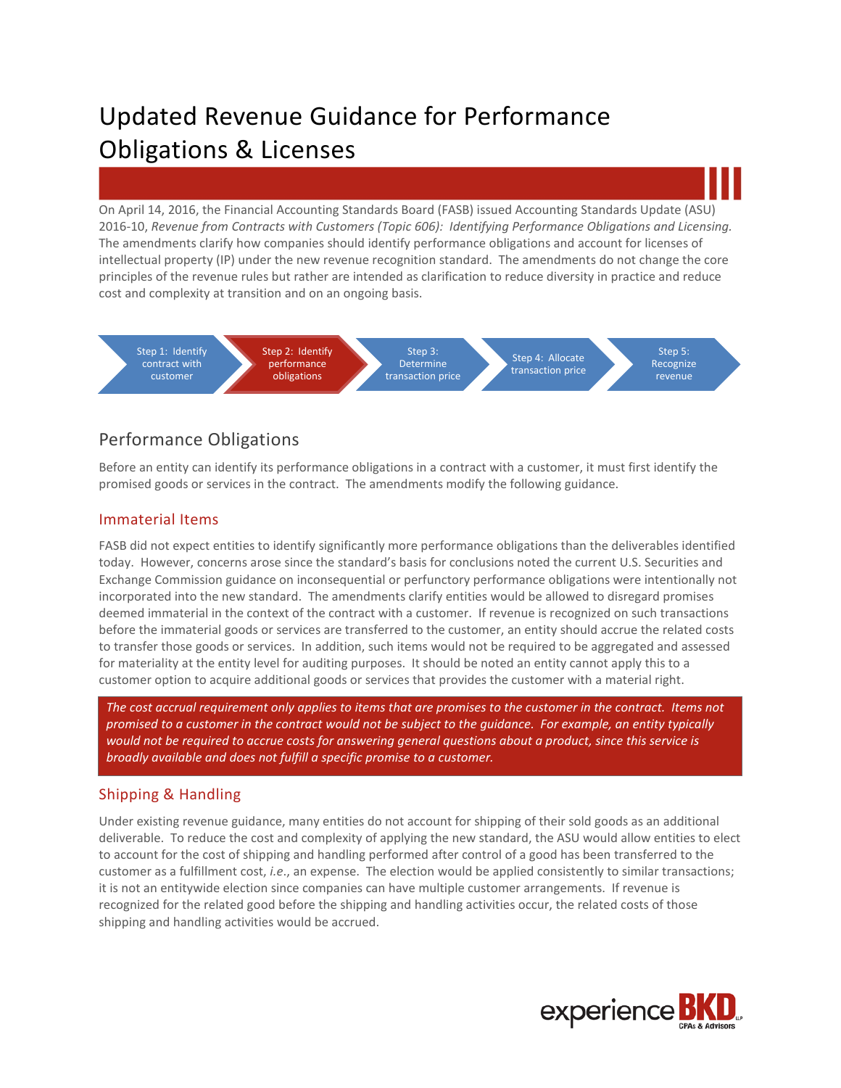On April 14, 2016, the Financial Accounting Standards Board (FASB) issued Accounting Standards Update (ASU) 2016-10, *Revenue from Contracts with Customers (Topic 606): Identifying Performance Obligations and Licensing.*  The amendments clarify how companies should identify performance obligations and account for licenses of intellectual property (IP) under the new revenue recognition standard. The amendments do not change the core principles of the revenue rules but rather are intended as clarification to reduce diversity in practice and reduce cost and complexity at transition and on an ongoing basis.



# Performance Obligations

Before an entity can identify its performance obligations in a contract with a customer, it must first identify the promised goods or services in the contract. The amendments modify the following guidance.

#### Immaterial Items

FASB did not expect entities to identify significantly more performance obligations than the deliverables identified today. However, concerns arose since the standard's basis for conclusions noted the current U.S. Securities and Exchange Commission guidance on inconsequential or perfunctory performance obligations were intentionally not incorporated into the new standard. The amendments clarify entities would be allowed to disregard promises deemed immaterial in the context of the contract with a customer. If revenue is recognized on such transactions before the immaterial goods or services are transferred to the customer, an entity should accrue the related costs to transfer those goods or services. In addition, such items would not be required to be aggregated and assessed for materiality at the entity level for auditing purposes. It should be noted an entity cannot apply this to a customer option to acquire additional goods or services that provides the customer with a material right.

*The cost accrual requirement only applies to items that are promises to the customer in the contract. Items not promised to a customer in the contract would not be subject to the guidance. For example, an entity typically would not be required to accrue costs for answering general questions about a product, since this service is broadly available and does not fulfill a specific promise to a customer.*

## Shipping & Handling

Under existing revenue guidance, many entities do not account for shipping of their sold goods as an additional deliverable. To reduce the cost and complexity of applying the new standard, the ASU would allow entities to elect to account for the cost of shipping and handling performed after control of a good has been transferred to the customer as a fulfillment cost, *i.e*., an expense. The election would be applied consistently to similar transactions; it is not an entitywide election since companies can have multiple customer arrangements. If revenue is recognized for the related good before the shipping and handling activities occur, the related costs of those shipping and handling activities would be accrued.

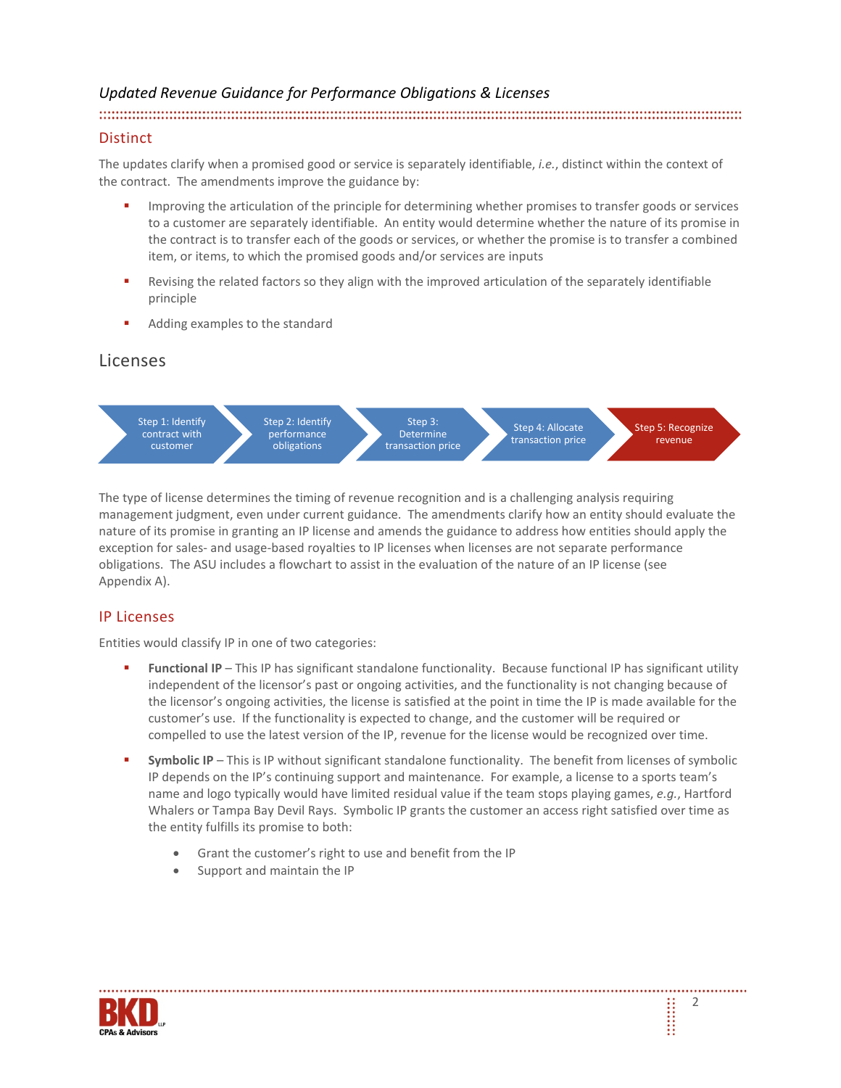#### 

#### **Distinct**

The updates clarify when a promised good or service is separately identifiable, *i.e.*, distinct within the context of the contract. The amendments improve the guidance by:

- Improving the articulation of the principle for determining whether promises to transfer goods or services to a customer are separately identifiable. An entity would determine whether the nature of its promise in the contract is to transfer each of the goods or services, or whether the promise is to transfer a combined item, or items, to which the promised goods and/or services are inputs
- Revising the related factors so they align with the improved articulation of the separately identifiable principle
- Adding examples to the standard

#### Licenses



The type of license determines the timing of revenue recognition and is a challenging analysis requiring management judgment, even under current guidance. The amendments clarify how an entity should evaluate the nature of its promise in granting an IP license and amends the guidance to address how entities should apply the exception for sales- and usage-based royalties to IP licenses when licenses are not separate performance obligations. The ASU includes a flowchart to assist in the evaluation of the nature of an IP license (see Appendix A).

#### IP Licenses

Entities would classify IP in one of two categories:

- **Functional IP** This IP has significant standalone functionality. Because functional IP has significant utility independent of the licensor's past or ongoing activities, and the functionality is not changing because of the licensor's ongoing activities, the license is satisfied at the point in time the IP is made available for the customer's use. If the functionality is expected to change, and the customer will be required or compelled to use the latest version of the IP, revenue for the license would be recognized over time.
- **Symbolic IP** This is IP without significant standalone functionality. The benefit from licenses of symbolic IP depends on the IP's continuing support and maintenance. For example, a license to a sports team's name and logo typically would have limited residual value if the team stops playing games, *e.g.*, Hartford Whalers or Tampa Bay Devil Rays. Symbolic IP grants the customer an access right satisfied over time as the entity fulfills its promise to both:
	- Grant the customer's right to use and benefit from the IP
	- Support and maintain the IP



**SEE**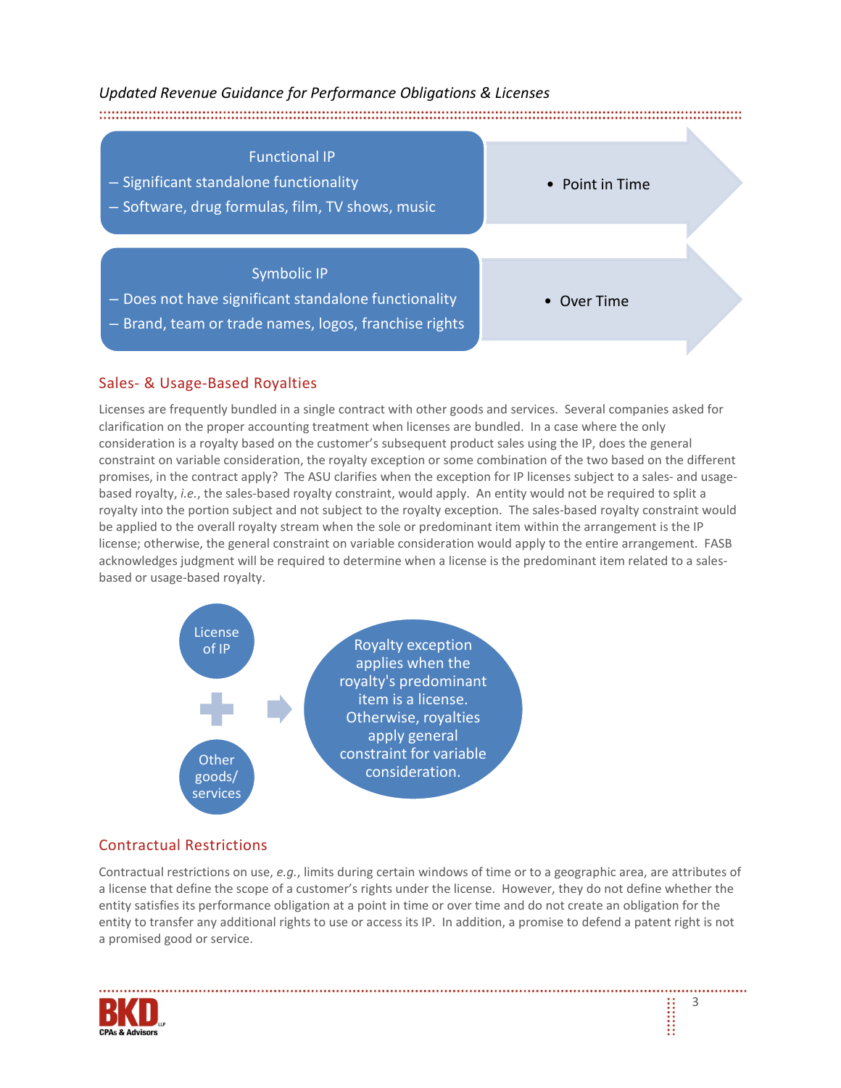

### Sales- & Usage-Based Royalties

Licenses are frequently bundled in a single contract with other goods and services. Several companies asked for clarification on the proper accounting treatment when licenses are bundled. In a case where the only consideration is a royalty based on the customer's subsequent product sales using the IP, does the general constraint on variable consideration, the royalty exception or some combination of the two based on the different promises, in the contract apply? The ASU clarifies when the exception for IP licenses subject to a sales- and usagebased royalty, *i.e.*, the sales-based royalty constraint, would apply. An entity would not be required to split a royalty into the portion subject and not subject to the royalty exception. The sales-based royalty constraint would be applied to the overall royalty stream when the sole or predominant item within the arrangement is the IP license; otherwise, the general constraint on variable consideration would apply to the entire arrangement. FASB acknowledges judgment will be required to determine when a license is the predominant item related to a salesbased or usage-based royalty.



## Contractual Restrictions

Contractual restrictions on use, *e.g.*, limits during certain windows of time or to a geographic area, are attributes of a license that define the scope of a customer's rights under the license. However, they do not define whether the entity satisfies its performance obligation at a point in time or over time and do not create an obligation for the entity to transfer any additional rights to use or access its IP. In addition, a promise to defend a patent right is not a promised good or service.

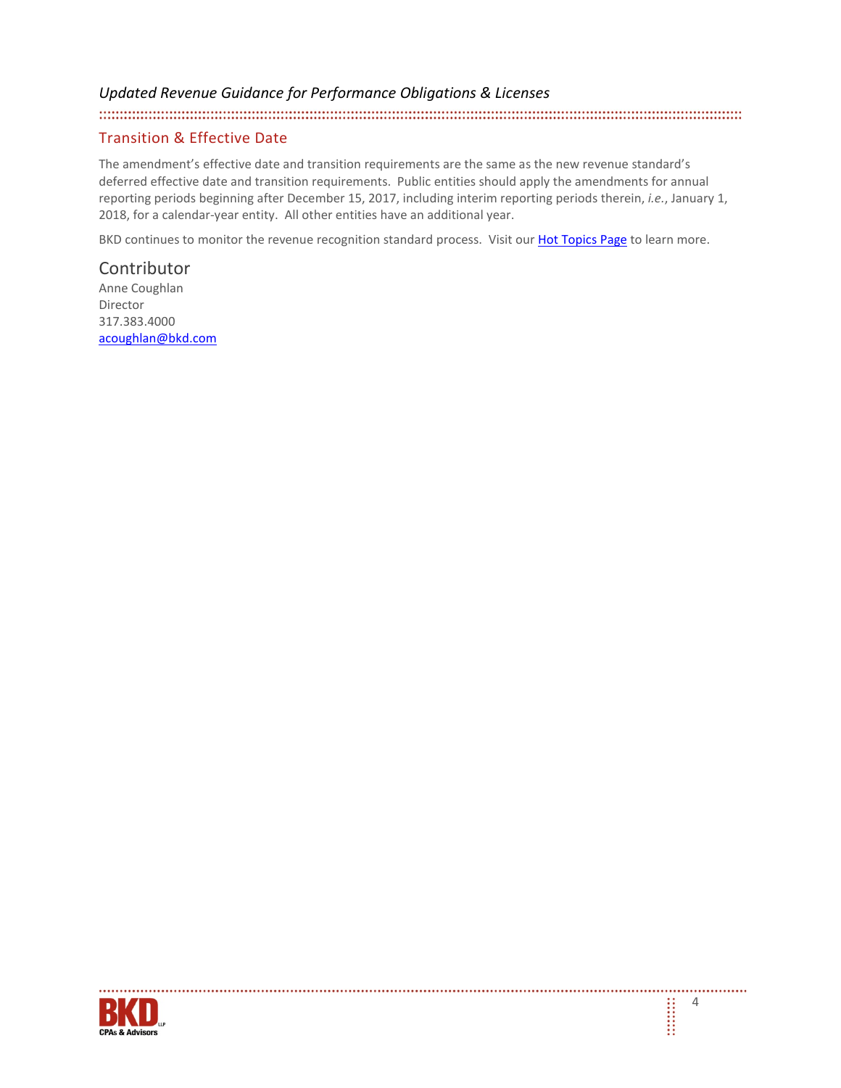#### Transition & Effective Date

The amendment's effective date and transition requirements are the same as the new revenue standard's deferred effective date and transition requirements. Public entities should apply the amendments for annual reporting periods beginning after December 15, 2017, including interim reporting periods therein, *i.e.*, January 1, 2018, for a calendar-year entity. All other entities have an additional year.

BKD continues to monitor the revenue recognition standard process. Visit our [Hot Topics Page](http://www.bkd.com/hot-topics/index.htm) to learn more.

## **Contributor**

Anne Coughlan Director 317.383.4000 [acoughlan@bkd.com](mailto:acoughlan@bkd.com)



. . . . . . . . . . . . . . . . .